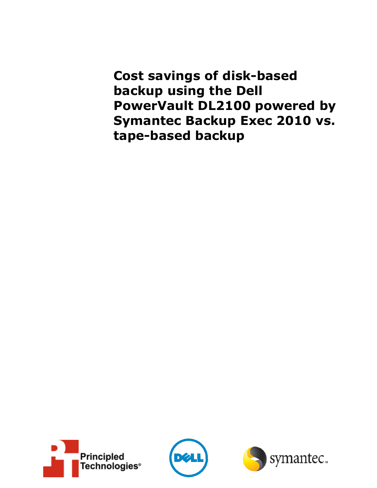**Cost savings of disk-based backup using the Dell PowerVault DL2100 powered by Symantec Backup Exec 2010 vs. tape-based backup**





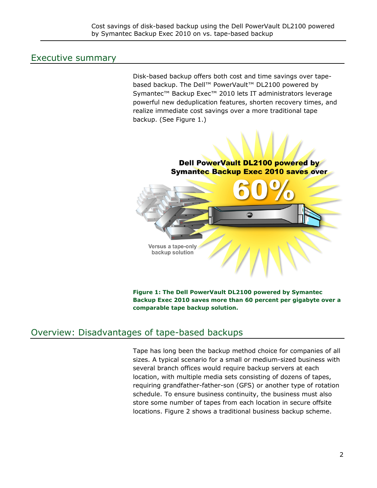# Executive summary

Disk-based backup offers both cost and time savings over tapebased backup. The Dell™ PowerVault™ DL2100 powered by Symantec™ Backup Exec™ 2010 lets IT administrators leverage powerful new deduplication features, shorten recovery times, and realize immediate cost savings over a more traditional tape backup. (See Figure 1.)

## Dell PowerVault DL2100 powered by **Symantec Backup Exec 2010 saves over**

Versus a tape-only backup solution

**Figure 1: The Dell PowerVault DL2100 powered by Symantec Backup Exec 2010 saves more than 60 percent per gigabyte over a comparable tape backup solution.** 

# Overview: Disadvantages of tape-based backups

f

Tape has long been the backup method choice for companies of all sizes. A typical scenario for a small or medium-sized business with several branch offices would require backup servers at each location, with multiple media sets consisting of dozens of tapes, requiring grandfather-father-son (GFS) or another type of rotation schedule. To ensure business continuity, the business must also store some number of tapes from each location in secure offsite locations. Figure 2 shows a traditional business backup scheme.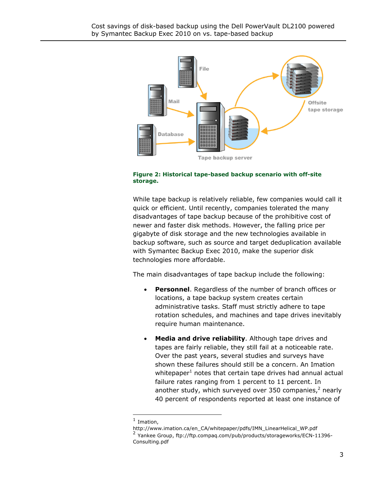

#### **Figure 2: Historical tape-based backup scenario with off-site storage.**

While tape backup is relatively reliable, few companies would call it quick or efficient. Until recently, companies tolerated the many disadvantages of tape backup because of the prohibitive cost of newer and faster disk methods. However, the falling price per gigabyte of disk storage and the new technologies available in backup software, such as source and target deduplication available with Symantec Backup Exec 2010, make the superior disk technologies more affordable.

The main disadvantages of tape backup include the following:

- **Personnel**. Regardless of the number of branch offices or locations, a tape backup system creates certain administrative tasks. Staff must strictly adhere to tape rotation schedules, and machines and tape drives inevitably require human maintenance.
- **Media and drive reliability**. Although tape drives and tapes are fairly reliable, they still fail at a noticeable rate. Over the past years, several studies and surveys have shown these failures should still be a concern. An Imation whitepaper<sup>1</sup> notes that certain tape drives had annual actual failure rates ranging from 1 percent to 11 percent. In another study, which surveyed over 350 companies, $^2$  nearly 40 percent of respondents reported at least one instance of

1

 $<sup>1</sup>$  Imation,</sup>

http://www.imation.ca/en\_CA/whitepaper/pdfs/IMN\_LinearHelical\_WP.pdf <sup>2</sup> Yankee Group, ftp://ftp.compaq.com/pub/products/storageworks/ECN-11396-Consulting.pdf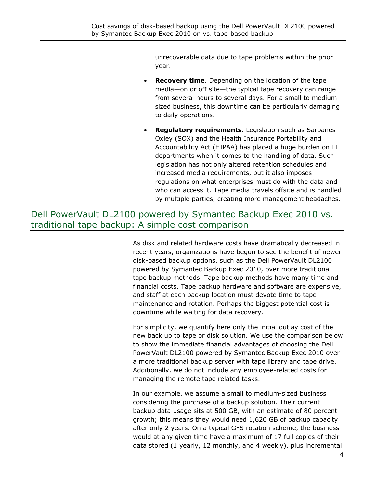unrecoverable data due to tape problems within the prior year.

- **Recovery time**. Depending on the location of the tape media—on or off site—the typical tape recovery can range from several hours to several days. For a small to mediumsized business, this downtime can be particularly damaging to daily operations.
- **Regulatory requirements**. Legislation such as Sarbanes-Oxley (SOX) and the Health Insurance Portability and Accountability Act (HIPAA) has placed a huge burden on IT departments when it comes to the handling of data. Such legislation has not only altered retention schedules and increased media requirements, but it also imposes regulations on what enterprises must do with the data and who can access it. Tape media travels offsite and is handled by multiple parties, creating more management headaches.

# Dell PowerVault DL2100 powered by Symantec Backup Exec 2010 vs. traditional tape backup: A simple cost comparison

As disk and related hardware costs have dramatically decreased in recent years, organizations have begun to see the benefit of newer disk-based backup options, such as the Dell PowerVault DL2100 powered by Symantec Backup Exec 2010, over more traditional tape backup methods. Tape backup methods have many time and financial costs. Tape backup hardware and software are expensive, and staff at each backup location must devote time to tape maintenance and rotation. Perhaps the biggest potential cost is downtime while waiting for data recovery.

For simplicity, we quantify here only the initial outlay cost of the new back up to tape or disk solution. We use the comparison below to show the immediate financial advantages of choosing the Dell PowerVault DL2100 powered by Symantec Backup Exec 2010 over a more traditional backup server with tape library and tape drive. Additionally, we do not include any employee-related costs for managing the remote tape related tasks.

In our example, we assume a small to medium-sized business considering the purchase of a backup solution. Their current backup data usage sits at 500 GB, with an estimate of 80 percent growth; this means they would need 1,620 GB of backup capacity after only 2 years. On a typical GFS rotation scheme, the business would at any given time have a maximum of 17 full copies of their data stored (1 yearly, 12 monthly, and 4 weekly), plus incremental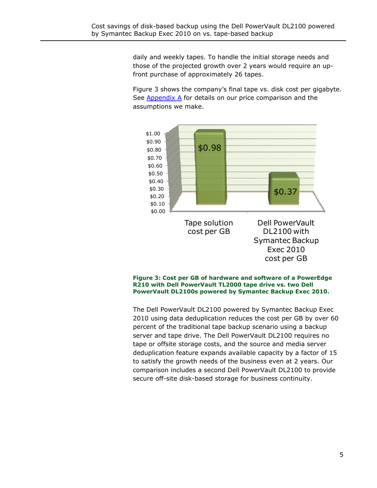daily and weekly tapes. To handle the initial storage needs and those of the projected growth over 2 years would require an upfront purchase of approximately 26 tapes.

Figure 3 shows the company's final tape vs. disk cost per gigabyte. See  $\Delta$ ppendix  $\Delta$  for details on our price comparison and the assumptions we make.



**Figure 3: Cost per GB of hardware and software of a PowerEdge R210 with Dell PowerVault TL2000 tape drive vs. two Dell PowerVault DL2100s powered by Symantec Backup Exec 2010.** 

The Dell PowerVault DL2100 powered by Symantec Backup Exec 2010 using data deduplication reduces the cost per GB by over 60 percent of the traditional tape backup scenario using a backup server and tape drive. The Dell PowerVault DL2100 requires no tape or offsite storage costs, and the source and media server deduplication feature expands available capacity by a factor of 15 to satisfy the growth needs of the business even at 2 years. Our comparison includes a second Dell PowerVault DL2100 to provide secure off-site disk-based storage for business continuity.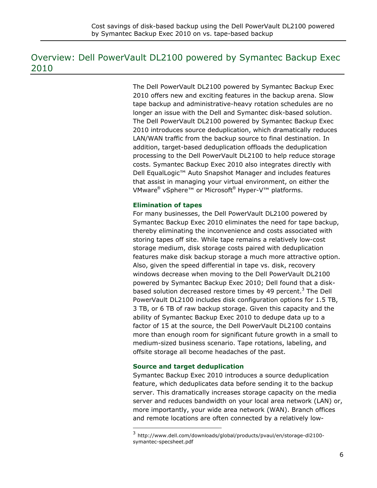# Overview: Dell PowerVault DL2100 powered by Symantec Backup Exec 2010

f

The Dell PowerVault DL2100 powered by Symantec Backup Exec 2010 offers new and exciting features in the backup arena. Slow tape backup and administrative-heavy rotation schedules are no longer an issue with the Dell and Symantec disk-based solution. The Dell PowerVault DL2100 powered by Symantec Backup Exec 2010 introduces source deduplication, which dramatically reduces LAN/WAN traffic from the backup source to final destination. In addition, target-based deduplication offloads the deduplication processing to the Dell PowerVault DL2100 to help reduce storage costs. Symantec Backup Exec 2010 also integrates directly with Dell EqualLogic™ Auto Snapshot Manager and includes features that assist in managing your virtual environment, on either the VMware® vSphere™ or Microsoft® Hyper-V™ platforms.

### **Elimination of tapes**

For many businesses, the Dell PowerVault DL2100 powered by Symantec Backup Exec 2010 eliminates the need for tape backup, thereby eliminating the inconvenience and costs associated with storing tapes off site. While tape remains a relatively low-cost storage medium, disk storage costs paired with deduplication features make disk backup storage a much more attractive option. Also, given the speed differential in tape vs. disk, recovery windows decrease when moving to the Dell PowerVault DL2100 powered by Symantec Backup Exec 2010; Dell found that a diskbased solution decreased restore times by 49 percent. $3$  The Dell PowerVault DL2100 includes disk configuration options for 1.5 TB, 3 TB, or 6 TB of raw backup storage. Given this capacity and the ability of Symantec Backup Exec 2010 to dedupe data up to a factor of 15 at the source, the Dell PowerVault DL2100 contains more than enough room for significant future growth in a small to medium-sized business scenario. Tape rotations, labeling, and offsite storage all become headaches of the past.

### **Source and target deduplication**

Symantec Backup Exec 2010 introduces a source deduplication feature, which deduplicates data before sending it to the backup server. This dramatically increases storage capacity on the media server and reduces bandwidth on your local area network (LAN) or, more importantly, your wide area network (WAN). Branch offices and remote locations are often connected by a relatively low-

<sup>3</sup> <sup>3</sup> http://www.dell.com/downloads/global/products/pvaul/en/storage-dl2100 symantec-specsheet.pdf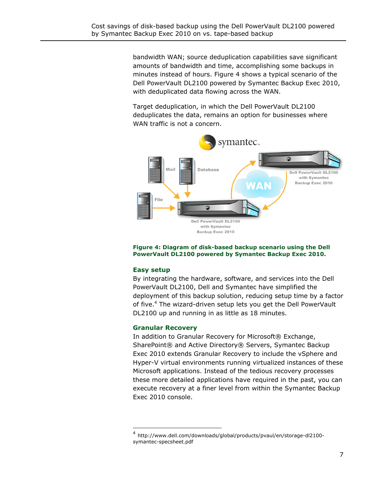bandwidth WAN; source deduplication capabilities save significant amounts of bandwidth and time, accomplishing some backups in minutes instead of hours. Figure 4 shows a typical scenario of the Dell PowerVault DL2100 powered by Symantec Backup Exec 2010, with deduplicated data flowing across the WAN.

Target deduplication, in which the Dell PowerVault DL2100 deduplicates the data, remains an option for businesses where WAN traffic is not a concern.



#### **Figure 4: Diagram of disk-based backup scenario using the Dell PowerVault DL2100 powered by Symantec Backup Exec 2010.**

### **Easy setup**

-

f

By integrating the hardware, software, and services into the Dell PowerVault DL2100, Dell and Symantec have simplified the deployment of this backup solution, reducing setup time by a factor of five.<sup>4</sup> The wizard-driven setup lets you get the Dell PowerVault DL2100 up and running in as little as 18 minutes.

### **Granular Recovery**

In addition to Granular Recovery for Microsoft<sup>®</sup> Exchange, SharePoint® and Active Directory® Servers, Symantec Backup Exec 2010 extends Granular Recovery to include the vSphere and Hyper-V virtual environments running virtualized instances of these Microsoft applications. Instead of the tedious recovery processes these more detailed applications have required in the past, you can execute recovery at a finer level from within the Symantec Backup Exec 2010 console.

<sup>4</sup> http://www.dell.com/downloads/global/products/pvaul/en/storage-dl2100 symantec-specsheet.pdf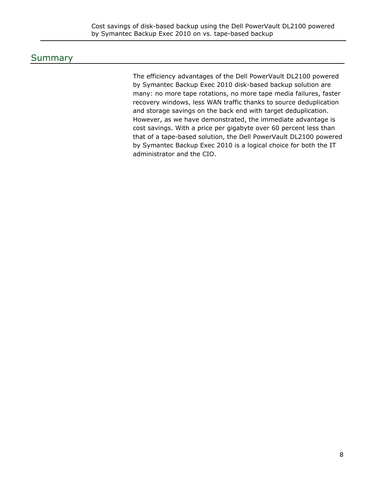# Summary

The efficiency advantages of the Dell PowerVault DL2100 powered by Symantec Backup Exec 2010 disk-based backup solution are many: no more tape rotations, no more tape media failures, faster recovery windows, less WAN traffic thanks to source deduplication and storage savings on the back end with target deduplication. However, as we have demonstrated, the immediate advantage is cost savings. With a price per gigabyte over 60 percent less than that of a tape-based solution, the Dell PowerVault DL2100 powered by Symantec Backup Exec 2010 is a logical choice for both the IT administrator and the CIO.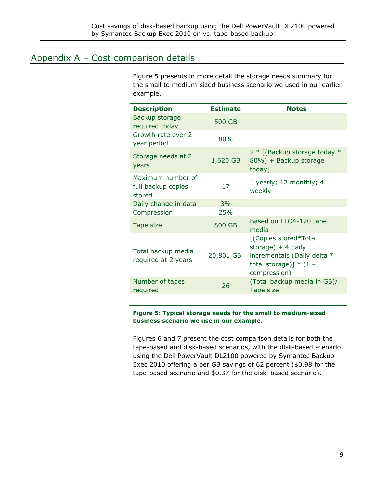# Appendix A – Cost comparison details

f

Figure 5 presents in more detail the storage needs summary for the small to medium-sized business scenario we used in our earlier example.

| <b>Description</b>                                | <b>Estimate</b> | <b>Notes</b>                                                                                                            |
|---------------------------------------------------|-----------------|-------------------------------------------------------------------------------------------------------------------------|
| Backup storage<br>required today                  | 500 GB          |                                                                                                                         |
| Growth rate over 2-<br>year period                | 80%             |                                                                                                                         |
| Storage needs at 2<br>years                       | 1,620 GB        | 2 * [(Backup storage today *<br>80%) + Backup storage<br>today]                                                         |
| Maximum number of<br>full backup copies<br>stored | 17              | 1 yearly; 12 monthly; 4<br>weekly                                                                                       |
| Daily change in data                              | 3%              |                                                                                                                         |
| Compression                                       | 25%             |                                                                                                                         |
| Tape size                                         | 800 GB          | Based on LTO4-120 tape<br>media                                                                                         |
| Total backup media<br>required at 2 years         | 20,801 GB       | [(Copies stored*Total<br>storage) $+4$ daily<br>incrementals (Daily delta *<br>total storage)] $*$ (1 –<br>compression) |
| Number of tapes<br>required                       | 26              | (Total backup media in GB)/<br>Tape size                                                                                |

#### **Figure 5: Typical storage needs for the small to medium-sized business scenario we use in our example.**

Figures 6 and 7 present the cost comparison details for both the tape-based and disk-based scenarios, with the disk-based scenario using the Dell PowerVault DL2100 powered by Symantec Backup Exec 2010 offering a per GB savings of 62 percent (\$0.98 for the tape-based scenario and \$0.37 for the disk–based scenario).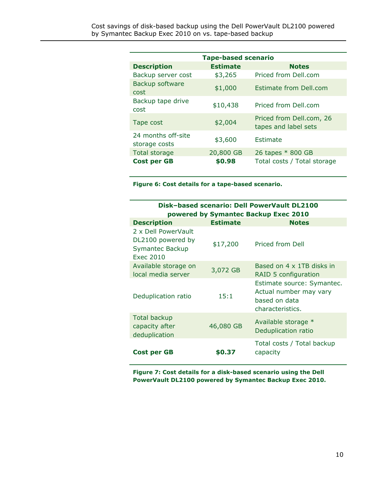| <b>Tape-based scenario</b>          |                 |                                                  |  |  |
|-------------------------------------|-----------------|--------------------------------------------------|--|--|
| <b>Description</b>                  | <b>Estimate</b> | <b>Notes</b>                                     |  |  |
| Backup server cost                  | \$3,265         | Priced from Dell.com                             |  |  |
| Backup software<br>cost             | \$1,000         | Estimate from Dell.com                           |  |  |
| Backup tape drive<br>cost           | \$10,438        | Priced from Dell.com                             |  |  |
| Tape cost                           | \$2,004         | Priced from Dell.com, 26<br>tapes and label sets |  |  |
| 24 months off-site<br>storage costs | \$3,600         | Estimate                                         |  |  |
| <b>Total storage</b>                | 20,800 GB       | 26 tapes * 800 GB                                |  |  |
| <b>Cost per GB</b>                  | \$0.98          | Total costs / Total storage                      |  |  |

**Figure 6: Cost details for a tape-based scenario.** 

| <b>Disk-based scenario: Dell PowerVault DL2100</b><br>powered by Symantec Backup Exec 2010 |                 |                                                                                           |  |  |
|--------------------------------------------------------------------------------------------|-----------------|-------------------------------------------------------------------------------------------|--|--|
| <b>Description</b>                                                                         | <b>Estimate</b> | <b>Notes</b>                                                                              |  |  |
| 2 x Dell PowerVault<br>DL2100 powered by<br>Symantec Backup<br>Exec 2010                   | \$17,200        | Priced from Dell                                                                          |  |  |
| Available storage on<br>local media server                                                 | 3,072 GB        | Based on 4 x 1TB disks in<br>RAID 5 configuration                                         |  |  |
| Deduplication ratio                                                                        | 15:1            | Estimate source: Symantec.<br>Actual number may vary<br>based on data<br>characteristics. |  |  |
| Total backup<br>capacity after<br>deduplication                                            | 46,080 GB       | Available storage *<br>Deduplication ratio                                                |  |  |
| Cost per GB                                                                                | \$0.37          | Total costs / Total backup<br>capacity                                                    |  |  |

**Figure 7: Cost details for a disk-based scenario using the Dell PowerVault DL2100 powered by Symantec Backup Exec 2010.**